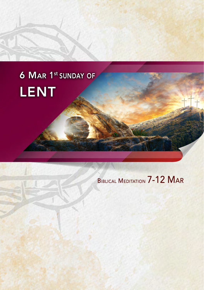# **6 MAR 1st SUNDAY OF** LENT

# Biblical Meditation 7-12 Mar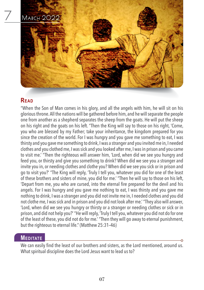

"When the Son of Man comes in his glory, and all the angels with him, he will sit on his glorious throne. All the nations will be gathered before him, and he will separate the people one from another as a shepherd separates the sheep from the goats. He will put the sheep on his right and the goats on his left. "Then the King will say to those on his right, 'Come, you who are blessed by my Father; take your inheritance, the kingdom prepared for you since the creation of the world. For I was hungry and you gave me something to eat, I was thirsty and you gave me something to drink, I was a stranger and you invited me in, I needed clothes and you clothed me, I was sick and you looked after me, I was in prison and you came to visit me.' "Then the righteous will answer him, 'Lord, when did we see you hungry and feed you, or thirsty and give you something to drink? When did we see you a stranger and invite you in, or needing clothes and clothe you? When did we see you sick or in prison and go to visit you?' "The King will reply, 'Truly I tell you, whatever you did for one of the least of these brothers and sisters of mine, you did for me.' "Then he will say to those on his left, 'Depart from me, you who are cursed, into the eternal fire prepared for the devil and his angels. For I was hungry and you gave me nothing to eat, I was thirsty and you gave me nothing to drink, I was a stranger and you did not invite me in, I needed clothes and you did not clothe me, I was sick and in prison and you did not look after me.' "They also will answer, 'Lord, when did we see you hungry or thirsty or a stranger or needing clothes or sick or in prison, and did not help you?' "He will reply, 'Truly I tell you, whatever you did not do for one of the least of these, you did not do for me.' "Then they will go away to eternal punishment, but the righteous to eternal life." (Matthew 25:31–46)

#### **MEDITATE**

We can easily find the least of our brothers and sisters, as the Lord mentioned, around us. What spiritual discipline does the Lord Jesus want to lead us to?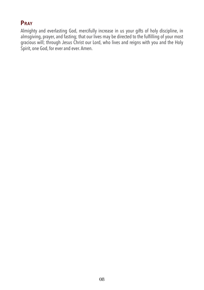# **Pray**

Almighty and everlasting God, mercifully increase in us your gifts of holy discipline, in almsgiving, prayer, and fasting; that our lives may be directed to the fulfilling of your most gracious will; through Jesus Christ our Lord, who lives and reigns with you and the Holy Spirit, one God, for ever and ever. Amen.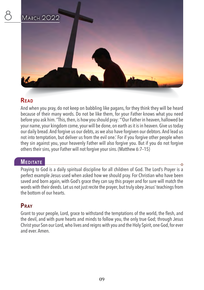

And when you pray, do not keep on babbling like pagans, for they think they will be heard because of their many words. Do not be like them, for your Father knows what you need before you ask him. "This, then, is how you should pray: "'Our Father in heaven, hallowed be your name, your kingdom come, your will be done, on earth as it is in heaven. Give us today our daily bread. And forgive us our debts, as we also have forgiven our debtors. And lead us not into temptation, but deliver us from the evil one.' For if you forgive other people when they sin against you, your heavenly Father will also forgive you. But if you do not forgive others their sins, your Father will not forgive your sins. (Matthew 6:7–15)

#### **MEDITATE**

Praying to God is a daily spiritual discipline for all children of God. The Lord's Prayer is a perfect example Jesus used when asked how we should pray. For Christian who have been saved and born again, with God's grace they can say this prayer and for sure will match the words with their deeds. Let us not just recite the prayer, but truly obey Jesus' teachings from the bottom of our hearts.

#### **Pray**

Grant to your people, Lord, grace to withstand the temptations of the world, the flesh, and the devil, and with pure hearts and minds to follow you, the only true God; through Jesus Christ your Son our Lord, who lives and reigns with you and the Holy Spirit, one God, for ever and ever. Amen.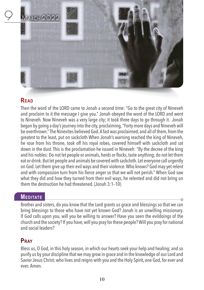

Then the word of the LORD came to Jonah a second time: "Go to the great city of Nineveh and proclaim to it the message I give you." Jonah obeyed the word of the LORD and went to Nineveh. Now Nineveh was a very large city; it took three days to go through it. Jonah began by going a day's journey into the city, proclaiming, "Forty more days and Nineveh will be overthrown." The Ninevites believed God. A fast was proclaimed, and all of them, from the greatest to the least, put on sackcloth When Jonah's warning reached the king of Nineveh, he rose from his throne, took off his royal robes, covered himself with sackcloth and sat down in the dust. This is the proclamation he issued in Nineveh: "By the decree of the king and his nobles: Do not let people or animals, herds or flocks, taste anything; do not let them eat or drink. But let people and animals be covered with sackcloth. Let everyone call urgently on God. Let them give up their evil ways and their violence. Who knows? God may yet relent and with compassion turn from his fierce anger so that we will not perish." When God saw what they did and how they turned from their evil ways, he relented and did not bring on them the destruction he had threatened. (Jonah 3:1–10)

#### **MEDITATE**

Brother and sisters, do you know that the Lord grants us grace and blessings so that we can bring blessings to those who have not yet known God? Jonah is an unwilling missionary. If God calls upon you, will you be willing to answer? Have you seen the evildoings of the church and the society? If you have, will you pray for these people? Will you pray for national and social leaders?

# **Pray**

Bless us, O God, in this holy season, in which our hearts seek your help and healing; and so purify us by your discipline that we may grow in grace and in the knowledge of our Lord and Savior Jesus Christ; who lives and reigns with you and the Holy Spirit, one God, for ever and ever. Amen.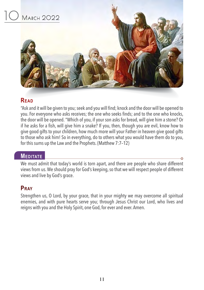

"Ask and it will be given to you; seek and you will find; knock and the door will be opened to you. For everyone who asks receives; the one who seeks finds; and to the one who knocks, the door will be opened. "Which of you, if your son asks for bread, will give him a stone? Or if he asks for a fish, will give him a snake? If you, then, though you are evil, know how to give good gifts to your children, how much more will your Father in heaven give good gifts to those who ask him! So in everything, do to others what you would have them do to you, for this sums up the Law and the Prophets. (Matthew 7:7–12)

#### **MEDITATE**

We must admit that today's world is torn apart, and there are people who share different views from us. We should pray for God's keeping, so that we will respect people of different views and live by God's grace.

# **Pray**

Strengthen us, O Lord, by your grace, that in your mighty we may overcome all spiritual enemies, and with pure hearts serve you; through Jesus Christ our Lord, who lives and reigns with you and the Holy Spirit, one God, for ever and ever. Amen.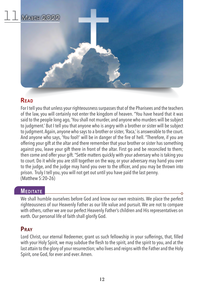

For I tell you that unless your righteousness surpasses that of the Pharisees and the teachers of the law, you will certainly not enter the kingdom of heaven. "You have heard that it was said to the people long ago, 'You shall not murder, and anyone who murders will be subject to judgment.' But I tell you that anyone who is angry with a brother or sister will be subject to judgment. Again, anyone who says to a brother or sister, 'Raca,' is answerable to the court. And anyone who says, 'You fool!' will be in danger of the fire of hell. "Therefore, if you are offering your gift at the altar and there remember that your brother or sister has something against you, leave your gift there in front of the altar. First go and be reconciled to them; then come and offer your gift. "Settle matters quickly with your adversary who is taking you to court. Do it while you are still together on the way, or your adversary may hand you over to the judge, and the judge may hand you over to the officer, and you may be thrown into prison. Truly I tell you, you will not get out until you have paid the last penny. (Matthew 5:20–26)

#### **MEDITATE**

We shall humble ourselves before God and know our own restraints. We place the perfect righteousness of our Heavenly Father as our life value and pursuit. We are not to compare with others, rather we are our perfect Heavenly Father's children and His representatives on earth. Our personal life of faith shall glorify God.

#### **Pray**

Lord Christ, our eternal Redeemer, grant us such fellowship in your sufferings, that, filled with your Holy Spirit, we may subdue the flesh to the spirit, and the spirit to you, and at the last attain to the glory of your resurrection; who lives and reigns with the Father and the Holy Spirit, one God, for ever and ever. Amen.